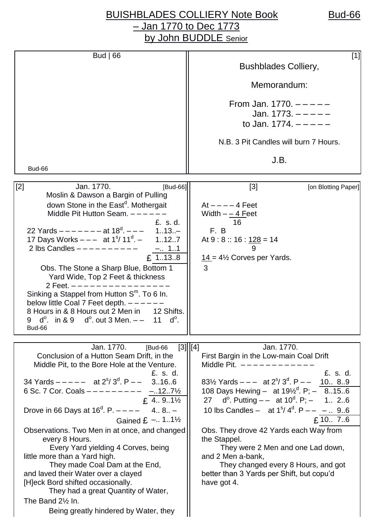## BUISHBLADES COLLIERY Note Book Bud-66 – Jan 1770 to Dec 1773 by John BUDDLE Senior

| Bud $ 66$                                                                                                                                                                                                                                                                                                                                                                                                                                                                                                                                                                                                                                                                                                                                                        | $[1]$<br><b>Bushblades Colliery,</b><br>Memorandum:                                                                                                                                                                                                                                                                                                                                                                                                                                                                                                                                               |
|------------------------------------------------------------------------------------------------------------------------------------------------------------------------------------------------------------------------------------------------------------------------------------------------------------------------------------------------------------------------------------------------------------------------------------------------------------------------------------------------------------------------------------------------------------------------------------------------------------------------------------------------------------------------------------------------------------------------------------------------------------------|---------------------------------------------------------------------------------------------------------------------------------------------------------------------------------------------------------------------------------------------------------------------------------------------------------------------------------------------------------------------------------------------------------------------------------------------------------------------------------------------------------------------------------------------------------------------------------------------------|
|                                                                                                                                                                                                                                                                                                                                                                                                                                                                                                                                                                                                                                                                                                                                                                  | From Jan. 1770. $---$<br>Jan. $1773. - - - -$<br>to Jan. $1774. - - - -$                                                                                                                                                                                                                                                                                                                                                                                                                                                                                                                          |
|                                                                                                                                                                                                                                                                                                                                                                                                                                                                                                                                                                                                                                                                                                                                                                  | N.B. 3 Pit Candles will burn 7 Hours.                                                                                                                                                                                                                                                                                                                                                                                                                                                                                                                                                             |
| Bud-66                                                                                                                                                                                                                                                                                                                                                                                                                                                                                                                                                                                                                                                                                                                                                           | J.B.                                                                                                                                                                                                                                                                                                                                                                                                                                                                                                                                                                                              |
| Jan. 1770.<br>$[2]$<br>[Bud-66]<br>Moslin & Dawson a Bargin of Pulling<br>down Stone in the East <sup>d</sup> . Mothergait<br>Middle Pit Hutton Seam. $---$<br>£, s, d,<br>22 Yards $--- - 4t 18^d$ . $--- 113$<br>17 Days Works $---$ at 1 <sup>s</sup> / 11 <sup>d</sup> . $-$<br>1.12.7<br>2 lbs Candles $---------$<br>- 11<br>£ 1138<br>Obs. The Stone a Sharp Blue, Bottom 1<br>Yard Wide, Top 2 Feet & thickness<br>2 Feet. $------------$<br>Sinking a Stappel from Hutton $Sm$ . To 6 In.<br>below little Coal 7 Feet depth. $---$<br>8 Hours in & 8 Hours out 2 Men in 12 Shifts.<br>9 $d^0$ . in & 9 $d^0$ . out 3 Men. $-$ 11 $d^0$ .<br>Bud-66                                                                                                      | $[3]$<br>[on Blotting Paper]<br>$At --- -4$ Feet<br>Width $-\underline{ -4}$ Feet<br>16<br>F.B<br>At $9:8::16:128=14$<br>$14 = 4\frac{1}{2}$ Corves per Yards.<br>3                                                                                                                                                                                                                                                                                                                                                                                                                               |
| Jan. 1770. [Bud-66]<br>Conclusion of a Hutton Seam Drift, in the<br>Middle Pit, to the Bore Hole at the Venture.<br>£, s, d,<br>34 Yards $---$ at $2^{s}/3^{d}$ . P $---$ 3166<br>6 Sc. 7 Cor. Coals $------ - - - - - - \frac{-.127\frac{1}{2}}{2}$<br>f 4 91 <sup>1</sup> / <sub>2</sub><br>$£$ 4 91 $\frac{1}{2}$<br>Drove in 66 Days at $16^d$ . P. $--- 4$ 8 -<br>Gained $E - 1.1\frac{1}{2}$<br>Observations. Two Men in at once, and changed<br>every 8 Hours.<br>Every Yard yielding 4 Corves, being<br>little more than a Yard high.<br>They made Coal Dam at the End,<br>and laved their Water over a clayed<br>[H]eck Bord shifted occasionally.<br>They had a great Quantity of Water,<br>The Band 21/2 In.<br>Being greatly hindered by Water, they | $[3]$   $[4]$<br>Jan. 1770.<br>First Bargin in the Low-main Coal Drift<br>Middle Pit. $------$<br>£, s, d,<br>83½ Yards $---$ at $2^{s}/3^{d}$ . P $---$ 10 89<br>108 Days Hewing - at $19\frac{1}{2}$ <sup>d</sup> . P; - 8156<br>27 d <sup>o</sup> . Putting $-$ at 10 <sup>d</sup> . P; - 1 26<br>10 lbs Candles - at $1^{\circ}/4^{\circ}$ . P - - -  96<br>£ 10 $7.6$<br>Obs. They drove 42 Yards each Way from<br>the Stappel.<br>They were 2 Men and one Lad down,<br>and 2 Men a-bank,<br>They changed every 8 Hours, and got<br>better than 3 Yards per Shift, but copu'd<br>have got 4. |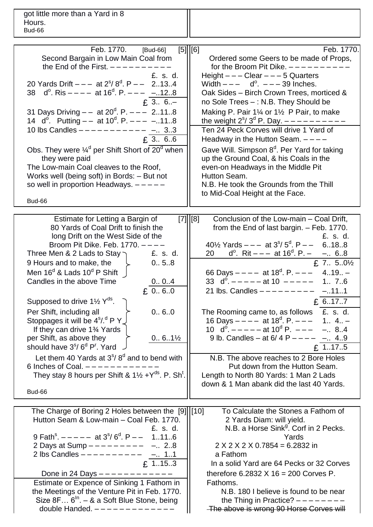got little more than a Yard in 8 Hours. Bud-66

| Feb. 1770.<br>[Bud-66]<br>Second Bargain in Low Main Coal from<br>the End of the First. $---$<br>£. s. d.<br>20 Yards Drift $---$ at $2^{s}/8^{d}$ . P $---$ 2134<br>38 $d^{\circ}$ . Ris $---$ at 16 <sup>d</sup> . P. $---$ -128<br>$£ 3 6. -$<br>31 Days Driving $-$ at 20 <sup>d</sup> . P. $ -$ 2118<br>14 $d^{\circ}$ . Putting $-$ at 10 <sup>d</sup> . P. $  -$ 118<br>10 lbs Candles $---------$ - 33<br>f. 3 66<br>Obs. They were $\frac{1}{4}$ <sup>d</sup> per Shift Short of 20 <sup>d</sup> when<br>they were paid<br>The Low-main Coal cleaves to the Roof,<br>Works well (being soft) in Bords: - But not<br>so well in proportion Headways. $---$<br>Bud-66                                                                                                                                                                        | $[5]$   $[6]$<br>Feb. 1770.<br>Ordered some Geers to be made of Props,<br>for the Broom Pit Dike. $---$<br>Height $---$ Clear $---$ 5 Quarters<br>Width $---$ d <sup>o</sup> . $---$ 39 Inches.<br>Oak Sides - Birch Crown Trees, morticed &<br>no Sole Trees -: N.B. They Should be<br>Making P. Pair 11⁄4 or 11⁄2 P Pair, to make<br>the weight $2^{s}/3^{d}$ P. Day. $---$<br>Ten 24 Peck Corves will drive 1 Yard of<br>Headway in the Hutton Seam. $---$<br>Gave Will. Simpson 8 <sup>d</sup> . Per Yard for taking<br>up the Ground Coal, & his Coals in the<br>even-on Headways in the Middle Pit<br>Hutton Seam.<br>N.B. He took the Grounds from the Thill<br>to Mid-Coal Height at the Face.                                                                                                                                   |
|-----------------------------------------------------------------------------------------------------------------------------------------------------------------------------------------------------------------------------------------------------------------------------------------------------------------------------------------------------------------------------------------------------------------------------------------------------------------------------------------------------------------------------------------------------------------------------------------------------------------------------------------------------------------------------------------------------------------------------------------------------------------------------------------------------------------------------------------------------|------------------------------------------------------------------------------------------------------------------------------------------------------------------------------------------------------------------------------------------------------------------------------------------------------------------------------------------------------------------------------------------------------------------------------------------------------------------------------------------------------------------------------------------------------------------------------------------------------------------------------------------------------------------------------------------------------------------------------------------------------------------------------------------------------------------------------------------|
|                                                                                                                                                                                                                                                                                                                                                                                                                                                                                                                                                                                                                                                                                                                                                                                                                                                     |                                                                                                                                                                                                                                                                                                                                                                                                                                                                                                                                                                                                                                                                                                                                                                                                                                          |
| Estimate for Letting a Bargin of<br>80 Yards of Coal Drift to finish the<br>long Drift on the West Side of the<br>Broom Pit Dike. Feb. $1770. - - -$<br>Three Men & 2 Lads to Stay $\bigcap$ E. s. d.<br>9 Hours and to make, the<br>0.5.8<br>Men $16^d$ & Lads $10^d$ P Shift $\parallel$<br>Candles in the above Time<br>0 04<br>£ $0.6.0$<br>Supposed to drive $1\frac{1}{2}$ Y <sup>ds</sup> .<br>Per Shift, including all<br>0.6.0<br>Stoppages it will be 4 <sup>s</sup> /. <sup>d</sup> P Y J<br>If they can drive 1 <sup>3</sup> / <sub>4</sub> Yards<br>per Shift, as above they<br>$0.6.1\%$<br>should have 3 <sup>\$</sup> / 6 <sup>d</sup> P <sup>r</sup> . Yard<br>Let them 40 Yards at $3s/ 8d$ and to bend with<br>6 Inches of Coal. $---$<br>They stay 8 hours per Shift & $1\frac{1}{2} + Y^{ds}$ . P. Sh <sup>t</sup> .<br>Bud-66 | $[7]$   $[8]$<br>Conclusion of the Low-main - Coal Drift,<br>from the End of last bargin. - Feb. 1770.<br>£. s. d.<br>40 <sup>1</sup> / <sub>2</sub> Yards $-$ - at 3 <sup>s</sup> / 5 <sup>d</sup> . P - - 6188<br>$d^0$ . Rit - - - at 16 <sup>d</sup> . P. - -  68<br>20<br>£ 7 $5.0\frac{1}{2}$<br>66 Days $---$ at 18 <sup>d</sup> . P. $---$ 419 -<br>33 $d^0$ . $---$ at 10 $---$<br>1 76<br>21 lbs. Candles $---------$ -111<br>£ $6.17.7$<br>£. s. d.<br>The Rooming came to, as follows<br>16 Days $---$ at 18 <sup>d</sup> . P. $---$ 1 4<br>10 $d^{\circ}$ . $   -$ at 10 <sup>d</sup> P. $   -$ 84<br>9 lb. Candles - at $6/4$ P - - - - -  49<br>£ 1175<br>N.B. The above reaches to 2 Bore Holes<br>Put down from the Hutton Seam.<br>Length to North 80 Yards: 1 Man 2 Lads<br>down & 1 Man abank did the last 40 Yards. |
| The Charge of Boring 2 Holes between the [9] [10]                                                                                                                                                                                                                                                                                                                                                                                                                                                                                                                                                                                                                                                                                                                                                                                                   | To Calculate the Stones a Fathom of                                                                                                                                                                                                                                                                                                                                                                                                                                                                                                                                                                                                                                                                                                                                                                                                      |
| Hutton Seam & Low-main - Coal Feb. 1770.<br>£. s. d.<br>9 Fath <sup>s</sup> . $---$ at $3^{5}/6^{d}$ . P $---$ 1116<br>2 Days at Sump $---------$<br>$-.2.8$<br>2 lbs Candles $---------$<br>$- 11$<br>£ 1153<br>Done in 24 Days $---------$<br>Estimate or Expence of Sinking 1 Fathom in<br>the Meetings of the Venture Pit in Feb. 1770.                                                                                                                                                                                                                                                                                                                                                                                                                                                                                                         | 2 Yards Diam: will yield.<br>N.B. a Horse Sink <sup>9</sup> . Corf in 2 Pecks.<br>Yards<br>$2 X 2 X 2 X 0.7854 = 6.2832$ in<br>a Fathom<br>In a solid Yard are 64 Pecks or 32 Corves<br>therefore $6.2832 \times 16 = 200$ Corves P.<br>Fathoms.<br>N.B. 180 I believe is found to be near                                                                                                                                                                                                                                                                                                                                                                                                                                                                                                                                               |
| Size $8F 6ln - 8$ a Soft Blue Stone, being<br>double Handed. $------------$                                                                                                                                                                                                                                                                                                                                                                                                                                                                                                                                                                                                                                                                                                                                                                         | the Thing in Practice? $------$<br>-The above is wrong 90 Horse Corves will                                                                                                                                                                                                                                                                                                                                                                                                                                                                                                                                                                                                                                                                                                                                                              |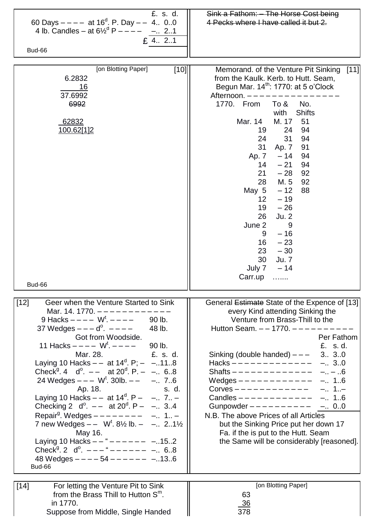| £. s. d.<br>60 Days $---$ at 16 <sup>d</sup> . P. Day $---$ 4 00<br>4 lb. Candles – at $6\frac{1}{2}^d$ P – – – –<br>$-.2.1$<br>£ 4 2.1<br>Bud-66                                                                                                                                                                                                                                                                                                                                                                                                                                                                                                                                                                                                                                                                                                                                                                                   | Sink a Fathom: - The Horse Cost being<br>4 Pecks where I have called it but 2.                                                                                                                                                                                                                                                                                                                                                                                                                                                                                                                                      |
|-------------------------------------------------------------------------------------------------------------------------------------------------------------------------------------------------------------------------------------------------------------------------------------------------------------------------------------------------------------------------------------------------------------------------------------------------------------------------------------------------------------------------------------------------------------------------------------------------------------------------------------------------------------------------------------------------------------------------------------------------------------------------------------------------------------------------------------------------------------------------------------------------------------------------------------|---------------------------------------------------------------------------------------------------------------------------------------------------------------------------------------------------------------------------------------------------------------------------------------------------------------------------------------------------------------------------------------------------------------------------------------------------------------------------------------------------------------------------------------------------------------------------------------------------------------------|
| [on Blotting Paper]<br>$[10]$<br>6.2832<br><u>16</u><br>37.6992<br>6992<br>62832<br>100.62[1]2<br>Bud-66                                                                                                                                                                                                                                                                                                                                                                                                                                                                                                                                                                                                                                                                                                                                                                                                                            | Memorand. of the Venture Pit Sinking<br>$[11]$<br>from the Kaulk. Kerb. to Hutt. Seam,<br>Begun Mar. 14 <sup>th</sup> : 1770: at 5 o'Clock<br>Afternoon. -<br>1770. From<br>To &<br>No.<br><b>Shifts</b><br>with<br>Mar. 14<br>M. 17<br>51<br>24<br>94<br>19<br>31<br>24<br>94<br>31<br>91<br>Ap. 7<br>$-14$<br>Ap. 7<br>94<br>$14 - 21$<br>94<br>$21 - 28$<br>92<br>28<br>M. 5<br>92<br>May $5 - 12$<br>88<br>$-19$<br>12 <sup>2</sup><br>$19 - 26$<br>26<br>Ju. 2<br>June 2<br>9<br>$-16$<br>9<br>16<br>$-23$<br>$23 - 30$<br>30 Ju. 7<br>July $7 - 14$<br>Carr.up                                                |
| Geer when the Venture Started to Sink<br>$[12]$<br>Mar. 14. 1770. $------------$<br>9 Hacks $---W^{t}$ . $---$ 90 lb.<br>37 Wedges $--- d^{\circ}$ . $---$<br>48 lb.<br>Got from Woodside.<br>11 Hacks $---$ W <sup>t</sup> . $---$<br>90 lb.<br>£, s, d,<br>Mar. 28.<br>Laying 10 Hacks $-$ at 14 <sup>d</sup> . P; $-$ -118<br>Check <sup>g</sup> 4 d <sup>o</sup> . $-$ at 20 <sup>d</sup> . P. $-$ - 6.8<br>24 Wedges $--- W^t$ . 30lb. $---$ - 76<br>Ap. 18.<br>s. d.<br>Laying 10 Hacks $-$ at 14 <sup>d</sup> . P $ -$ 7 $-$<br>Checking 2 $d^0$ . $-$ at 20 <sup>d</sup> . P - - 3.4<br>Repair <sup>9</sup> . Wedges $------ - -$ - 1 -<br>7 new Wedges $-$ W <sup>t</sup> . 8 <sup>1</sup> / <sub>2</sub> lb. - - 21 <sup>1</sup> / <sub>2</sub><br>May 16.<br>Laying 10 Hacks $- -$ " $- - - - - - -$ -152<br>Check <sup>9</sup> . 2 $d^0$ . $---$ " $---$ - $---$ - 68<br>48 Wedges $--- 54 --- --- --- -13.6$<br>Bud-66 | General <i>Estimate</i> State of the Expence of [13]<br>every Kind attending Sinking the<br>Venture from Brass-Thill to the<br>Hutton Seam. $- - 1770$ . $- - - - - -$<br>Per Fathom<br>£. s.d.<br>Sinking (double handed) $---$<br>3 30<br>Hacks $------------$<br>$-.3.0$<br>Shafts ------------- --6<br>Wedges $------------ - .1.6$<br>Corves $------------$ - 1<br>Candles $------------$<br>$-.1.6$<br>Gunpowder $---------$<br>$-.0.0$<br>N.B. The above Prices of all Articles<br>but the Sinking Price put her down 17<br>Fa. if the is put to the Hutt. Seam<br>the Same will be considerably [reasoned]. |
| $[14]$<br>For letting the Venture Pit to Sink<br>from the Brass Thill to Hutton $Sm$ .<br>in 1770.<br>Suppose from Middle, Single Handed                                                                                                                                                                                                                                                                                                                                                                                                                                                                                                                                                                                                                                                                                                                                                                                            | [on Blotting Paper]<br>63<br><u>36</u><br>378                                                                                                                                                                                                                                                                                                                                                                                                                                                                                                                                                                       |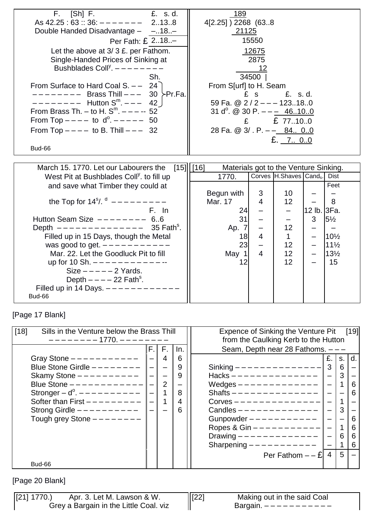| $[Sh]$ F.<br>£. s.d.<br>$F_{\rm s}$<br>As $42.25:63::36:------$ 2138<br>Double Handed Disadvantage - -18.-<br>Per Fath: £ 218-<br>Let the above at $3/3$ £. per Fathom.<br>Single-Handed Prices of Sinking at<br>Bushblades Coll <sup>y</sup> . $------$<br>Sh.<br>From Surface to Hard Coal S. $- - 24$<br>-------- Brass Thill --- 30 ≻Pr.Fa.<br>$------ - -$ Hutton S <sup>m</sup> . --- 42<br>From Brass Th. - to H. $S^m$ . - - - - 52<br>From Top $---$ to $d^0$ . $---$ 50<br>From Top $---$ to B. Thill $---$ 32 | 189<br>4[2.25] ) 2268 (638<br>21125<br>15550<br><u> 12675</u><br>2875<br>12<br>34500  <br>From S[urf] to H. Seam<br>£, s, d,<br>£ s<br>59 Fa. @ 2 / 2 - - - 123180<br>31 d <sup>o</sup> . @ 30 P. $- - -$ 46100<br>£ $\overline{27.10.0}$<br>28 Fa. @ 3/ . P. -- 84 00<br>£. $7.0.0$ |
|--------------------------------------------------------------------------------------------------------------------------------------------------------------------------------------------------------------------------------------------------------------------------------------------------------------------------------------------------------------------------------------------------------------------------------------------------------------------------------------------------------------------------|--------------------------------------------------------------------------------------------------------------------------------------------------------------------------------------------------------------------------------------------------------------------------------------|
| Bud-66                                                                                                                                                                                                                                                                                                                                                                                                                                                                                                                   |                                                                                                                                                                                                                                                                                      |
|                                                                                                                                                                                                                                                                                                                                                                                                                                                                                                                          |                                                                                                                                                                                                                                                                                      |
| March 15. 1770. Let our Labourers the                                                                                                                                                                                                                                                                                                                                                                                                                                                                                    | $[15]$    $[16]$<br>Materials got to the Venture Sinking.                                                                                                                                                                                                                            |
| West Pit at Bushblades Coll <sup>y</sup> . to fill up                                                                                                                                                                                                                                                                                                                                                                                                                                                                    | Corves H.Shaves Cands.<br>1770.<br><b>Dist</b>                                                                                                                                                                                                                                       |
| and save what Timber they could at                                                                                                                                                                                                                                                                                                                                                                                                                                                                                       | Feet                                                                                                                                                                                                                                                                                 |
|                                                                                                                                                                                                                                                                                                                                                                                                                                                                                                                          | Begun with<br>10<br>3                                                                                                                                                                                                                                                                |
| the Top for $14^{\circ}$ /. $d$ ---------                                                                                                                                                                                                                                                                                                                                                                                                                                                                                | Mar. 17<br>$\overline{4}$<br>12<br>8                                                                                                                                                                                                                                                 |
| F. In                                                                                                                                                                                                                                                                                                                                                                                                                                                                                                                    | 12 lb. 3Fa.<br>24                                                                                                                                                                                                                                                                    |
| Hutton Seam Size $------ - 6.6$                                                                                                                                                                                                                                                                                                                                                                                                                                                                                          | 31<br>$5\frac{1}{2}$<br>3<br>$\overline{\phantom{0}}$                                                                                                                                                                                                                                |
| Depth $----------- 35$ Fath <sup>s</sup> .                                                                                                                                                                                                                                                                                                                                                                                                                                                                               | 12 <sup>2</sup><br>Ap. 7<br>$\qquad \qquad -$                                                                                                                                                                                                                                        |
| Filled up in 15 Days, though the Metal                                                                                                                                                                                                                                                                                                                                                                                                                                                                                   | 18<br>$\overline{4}$<br>$\mathbf{1}$<br>10½                                                                                                                                                                                                                                          |
| was good to get. $---------$<br>Mar. 22. Let the Goodluck Pit to fill                                                                                                                                                                                                                                                                                                                                                                                                                                                    | 23<br>12 <sup>°</sup><br>$11\frac{1}{2}$<br>$\qquad \qquad -$<br>$\overline{4}$<br>12 <sup>2</sup><br>$13\frac{1}{2}$                                                                                                                                                                |
|                                                                                                                                                                                                                                                                                                                                                                                                                                                                                                                          | May 1<br>12 <sup>2</sup>                                                                                                                                                                                                                                                             |
| up for 10 Sh. $------------$<br>$Size --- -2$ Yards.                                                                                                                                                                                                                                                                                                                                                                                                                                                                     | 12<br>15                                                                                                                                                                                                                                                                             |
| Depth $---22$ Fath <sup>s</sup> .                                                                                                                                                                                                                                                                                                                                                                                                                                                                                        |                                                                                                                                                                                                                                                                                      |
|                                                                                                                                                                                                                                                                                                                                                                                                                                                                                                                          |                                                                                                                                                                                                                                                                                      |
| Filled up in 14 Days. $- - - - - - - - - - -$                                                                                                                                                                                                                                                                                                                                                                                                                                                                            |                                                                                                                                                                                                                                                                                      |

[Page 17 Blank]

| $[18]$<br>Sills in the Venture below the Brass Thill |                |                |     | Expence of Sinking the Venture Pit [19] |    |    |
|------------------------------------------------------|----------------|----------------|-----|-----------------------------------------|----|----|
| ———————— 1770. ——————                                |                |                |     | from the Caulking Kerb to the Hutton    |    |    |
|                                                      |                | $F.$ $F.$      | In. | Seam, Depth near 28 Fathoms. $---$      |    |    |
| Gray Stone $---------$                               | $\equiv$       | $\overline{4}$ | 6   | £.                                      | S. | d. |
| Blue Stone Girdle $------$                           | $\frac{1}{2}$  |                | 9   | 3<br>Sinking -------------              | 6  |    |
| Skamy Stone $---------$                              | $\overline{a}$ |                | 9   | Hacks -------------                     | 3  |    |
| Blue Stone $------------$                            |                | 2              | —   | Wedges $------------$                   |    | 6  |
| Stronger – $d^0$ . – – – – – – – – –                 | $\overline{a}$ |                | 8   | Shafts $---------------$                |    | 6  |
| Softer than First $------$                           | $\overline{a}$ |                | 4   | $Corves$ -------------                  |    |    |
| Strong Girdle $---------$                            |                |                | 6   | Candles -------------                   | 3  |    |
| Tough grey Stone $------$                            |                |                |     | Gunpowder $---------$                   |    | 6  |
|                                                      |                |                |     | Ropes & Gin $---------$                 |    | 6  |
|                                                      |                |                |     | Drawing $- - - - - - - - - - - - -$     | 6  | 6  |
|                                                      |                |                |     | Sharpening $---------$                  |    | 6  |
|                                                      |                |                |     | $\overline{4}$<br>Per Fathom $- - E$    | 5  |    |
| Bud-66                                               |                |                |     |                                         |    |    |

[Page 20 Blank]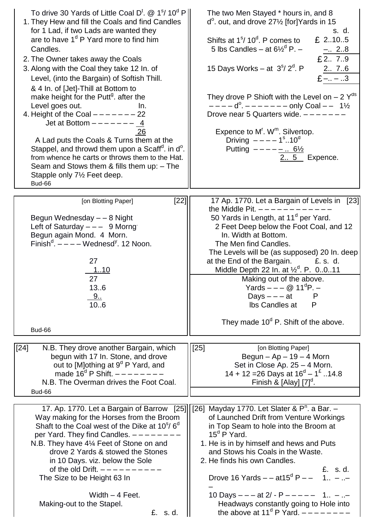| To drive 30 Yards of Little Coal D <sup>t</sup> . @ 1 <sup>s</sup> / 10 <sup>d</sup> P  <br>1. They Hew and fill the Coals and find Candles<br>for 1 Lad, if two Lads are wanted they<br>are to have $1d$ P Yard more to find him<br>Candles.<br>2. The Owner takes away the Coals<br>3. Along with the Coal they take 12 In. of<br>Level, (into the Bargain) of Softish Thill.<br>& 4 In. of [Jet]-Thill at Bottom to<br>make height for the Putt <sup>g</sup> . after the<br>Level goes out.<br>In.<br>4. Height of the Coal $------22$<br>Jet at Bottom $----- \underline{4}$<br>26<br>A Lad puts the Coals & Turns them at the<br>Stappel, and throwd them upon a Scaff <sup>d</sup> . in d <sup>o</sup> .<br>from whence he carts or throws them to the Hat.<br>Seam and Stows them & fills them up: - The<br>Stapple only 7 <sup>1/2</sup> Feet deep.<br>Bud-66 | The two Men Stayed * hours in, and 8<br>$d^{\circ}$ . out, and drove 27 $\frac{1}{2}$ [for] Yards in 15<br>s. d.<br>Shifts at 1 <sup>s</sup> / 10 <sup>d</sup> . P comes to<br>£ $2105$<br>5 lbs Candles – at $6\frac{1}{2}$ <sup>d</sup> P. –<br>$-.2.8$<br>£27.9<br>15 Days Works – at $3s/ 2d$ . P<br>2 7.6<br>$E$ - - 3<br>They drove P Shioft with the Level on $-2$ Y <sup>ds</sup><br>$---d^0$ . $------$ only Coal $---$ 11/2<br>Drove near 5 Quarters wide. $---$<br>Expence to M'. W <sup>m</sup> . Silvertop.<br>Driving $- - - - 1^{\circ}$ 10 <sup>d</sup><br>Putting $--- - \_$ 6½<br>2 5 Expence. |
|-----------------------------------------------------------------------------------------------------------------------------------------------------------------------------------------------------------------------------------------------------------------------------------------------------------------------------------------------------------------------------------------------------------------------------------------------------------------------------------------------------------------------------------------------------------------------------------------------------------------------------------------------------------------------------------------------------------------------------------------------------------------------------------------------------------------------------------------------------------------------|------------------------------------------------------------------------------------------------------------------------------------------------------------------------------------------------------------------------------------------------------------------------------------------------------------------------------------------------------------------------------------------------------------------------------------------------------------------------------------------------------------------------------------------------------------------------------------------------------------------|
| $[22]$<br>[on Blotting Paper]<br>Begun Wednesday - - 8 Night<br>Left of Saturday $---$ 9 Morng<br>Begun again Mond. 4 Morn.<br>Finish <sup>d</sup> . $---$ Wednesd <sup>y</sup> . 12 Noon.<br>27<br><u>110</u><br>27<br>136<br>9.<br>106<br>Bud-66                                                                                                                                                                                                                                                                                                                                                                                                                                                                                                                                                                                                                    | 17 Ap. 1770. Let a Bargain of Levels in [23]<br>the Middle Pit. $------$<br>50 Yards in Length, at 11 <sup>d</sup> per Yard.<br>2 Feet Deep below the Foot Coal, and 12<br>In. Width at Bottom.<br>The Men find Candles.<br>The Levels will be (as supposed) 20 In. deep<br>at the End of the Bargain.<br>£. s. d.<br>Middle Depth 22 In. at $\frac{1}{2}^d$ . P. 0011<br>Making out of the above.<br>Yards – – – @ 11 <sup>d</sup> P. –<br>Days $- - a t$<br>P<br>Ibs Candles at<br>P<br>They made $10^d$ P. Shift of the above.                                                                                |
|                                                                                                                                                                                                                                                                                                                                                                                                                                                                                                                                                                                                                                                                                                                                                                                                                                                                       |                                                                                                                                                                                                                                                                                                                                                                                                                                                                                                                                                                                                                  |
| $[24]$<br>N.B. They drove another Bargain, which<br>begun with 17 In. Stone, and drove<br>out to [M]othing at 9 <sup>d</sup> P Yard, and<br>made $16^d$ P Shift. $---$<br>N.B. The Overman drives the Foot Coal.<br>Bud-66                                                                                                                                                                                                                                                                                                                                                                                                                                                                                                                                                                                                                                            | $[25]$<br>[on Blotting Paper]<br>Begun $-$ Ap $-$ 19 $-$ 4 Morn<br>Set in Close Ap. 25 - 4 Morn.<br>14 + 12 = 26 Days at $16^d - 1^E$ 14.8<br>Finish & $[Alay]$ $[7]^\circ$ .                                                                                                                                                                                                                                                                                                                                                                                                                                    |
|                                                                                                                                                                                                                                                                                                                                                                                                                                                                                                                                                                                                                                                                                                                                                                                                                                                                       | 17. Ap. 1770. Let a Bargain of Barrow [25] [26] Mayday 1770. Let Slater & $P^n$ . a Bar. -                                                                                                                                                                                                                                                                                                                                                                                                                                                                                                                       |
| Way making for the Horses from the Broom<br>Shaft to the Coal west of the Dike at $10^{\circ}/6^{\circ}$<br>per Yard. They find Candles. $---$<br>N.B. They have 41⁄4 Feet of Stone on and<br>drove 2 Yards & stowed the Stones<br>in 10 Days. viz. below the Sole<br>of the old Drift. $---------$<br>The Size to be Height 63 In<br>Width $-4$ Feet.<br>Making-out to the Stapel.<br>£. s.d.                                                                                                                                                                                                                                                                                                                                                                                                                                                                        | of Launched Drift from Venture Workings<br>in Top Seam to hole into the Broom at<br>$15^{\circ}$ P Yard.<br>1. He is in by himself and hews and Puts<br>and Stows his Coals in the Waste.<br>2. He finds his own Candles.<br>£. s.d.<br>Drove 16 Yards $-$ - at 15 <sup>d</sup> P $-$<br>10 Days $- - -$ at 2/ - P $- - - - - 1$ - -<br>Headways constantly going to Hole into<br>the above at 11 <sup>d</sup> P Yard. $------$                                                                                                                                                                                  |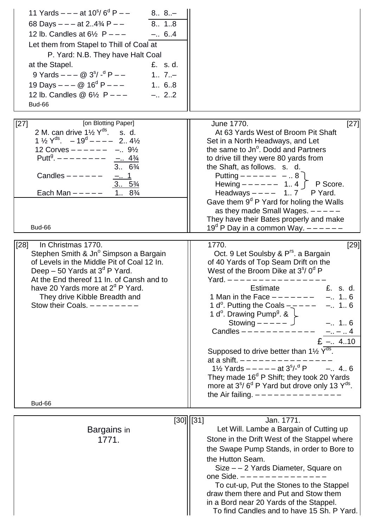| 11 Yards $---$ at 10 <sup>s</sup> / 6 <sup>d</sup> P $---$<br>$8 8. -$<br>8., 1.,8<br>68 Days $- - -$ at 24% P $- -$<br>12 lb. Candles at $6\frac{1}{2}$ P - - -<br>$-.6.4$<br>Let them from Stapel to Thill of Coal at<br>P. Yard: N.B. They have Halt Coal<br>at the Stapel.<br>£. s.d.<br>9 Yards $---$ @ 3 <sup>s</sup> / - <sup>d</sup> P $---$<br>$1.7. -$<br>19 Days $---@16d P---$<br>1 68<br>$-.2.2$<br>12 lb. Candles @ $6\frac{1}{2}$ P - - -<br>Bud-66 |                                                                                                                                                                                                                                                                                                                                                                                                                                                                                                                                                                                                                                                                                                                                                                                                                   |
|--------------------------------------------------------------------------------------------------------------------------------------------------------------------------------------------------------------------------------------------------------------------------------------------------------------------------------------------------------------------------------------------------------------------------------------------------------------------|-------------------------------------------------------------------------------------------------------------------------------------------------------------------------------------------------------------------------------------------------------------------------------------------------------------------------------------------------------------------------------------------------------------------------------------------------------------------------------------------------------------------------------------------------------------------------------------------------------------------------------------------------------------------------------------------------------------------------------------------------------------------------------------------------------------------|
| [on Blotting Paper]<br>$[27]$<br>2 M, can drive $1\frac{1}{2}$ $Y^{\text{ds}}$ , s, d,<br>$1\frac{1}{2}$ Y <sup>ds</sup> . $-19^d$ - - - - 2 4 <sup>1</sup> / <sub>2</sub><br>12 Corves $--- -  -.9\frac{1}{2}$<br>Putt <sup>g</sup> . $------ - -$ <u>- 4<sup>3</sup>/4</u><br>$3.6\frac{3}{4}$<br>Candles $---$ - $---$<br><u>_.  1</u><br>$3 5\frac{3}{4}$<br>1. $8\frac{3}{4}$<br>Each Man $---$<br>Bud-66<br>[28]<br>In Christmas 1770.                       | $[27]$<br>June 1770.<br>At 63 Yards West of Broom Pit Shaft<br>Set in a North Headways, and Let<br>the same to Jn <sup>o</sup> . Dodd and Partners<br>to drive till they were 80 yards from<br>the Shaft, as follows. s. d.<br>Putting $--- -  -. 8$<br>Hewing $-----$ 1 4 $\Gamma$ P Score.<br>Headways $--- 1.7$ P Yard.<br>Gave them $9d$ P Yard for holing the Walls<br>as they made Small Wages. $---$<br>They have their Bates properly and make<br>19 <sup>°</sup> P Day in a common Way. $---$<br>1770.<br>[29]                                                                                                                                                                                                                                                                                           |
| Stephen Smith & Jn <sup>o</sup> Simpson a Bargain<br>of Levels in the Middle Pit of Coal 12 In.<br>Deep $-50$ Yards at $3d$ P Yard.<br>At the End thereof 11 In. of Cansh and to<br>have 20 Yards more at 2 <sup>d</sup> P Yard.<br>They drive Kibble Breadth and<br>Stow their Coals. $------$<br>Bud-66                                                                                                                                                          | Oct. 9 Let Soulsby & P <sup>rs</sup> . a Bargain<br>of 40 Yards of Top Seam Drift on the<br>West of the Broom Dike at $3s/0d$ P<br>Yard. $------$<br>Estimate<br>£. s. d.<br>$-. 1.6$<br>1 Man in the Face $------$<br>1 d <sup>o</sup> . Putting the Coals $-\frac{1}{2}$ – – –<br>$-. 1.6$<br>1 d <sup>o</sup> . Drawing Pump <sup>g</sup> . & $\downarrow$<br>Stowing $-- \cup$<br>$-.16$<br>Candles $------------$<br>$-$ -  4<br>$E - .4.10$<br>Supposed to drive better than $1\frac{1}{2}$ $\overline{Y}^{\overline{ds}}$ .<br>at a shift. $---$<br>1\/ <sub>2</sub> Yards $--- -$ at 3 <sup>s</sup> /- <sup>d</sup> P $-. 4 6$<br>They made $16d$ P Shift; they took 20 Yards<br>more at $3^{\circ}/6^{\circ}$ P Yard but drove only 13 Y <sup>ds</sup> .<br>the Air failing. $- - - - - - - - - - - - -$ |
|                                                                                                                                                                                                                                                                                                                                                                                                                                                                    | [30]   [31]<br>Jan. 1771.                                                                                                                                                                                                                                                                                                                                                                                                                                                                                                                                                                                                                                                                                                                                                                                         |
| Bargains in<br>1771.                                                                                                                                                                                                                                                                                                                                                                                                                                               | Let Will. Lambe a Bargain of Cutting up<br>Stone in the Drift West of the Stappel where<br>the Swape Pump Stands, in order to Bore to<br>the Hutton Seam.<br>Size - - 2 Yards Diameter, Square on<br>one Side. $---------------$<br>To cut-up, Put the Stones to the Stappel<br>draw them there and Put and Stow them<br>in a Bord near 20 Yards of the Stappel.<br>To find Candles and to have 15 Sh. P Yard.                                                                                                                                                                                                                                                                                                                                                                                                    |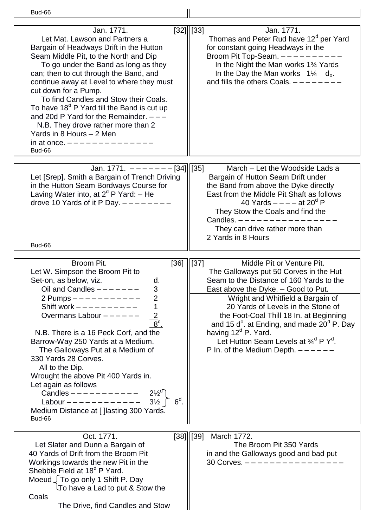| <b>Bud-66</b>                                                                                                                                                                                                                                                                                                                                                                                                                                                                                                                                                                                                              |                                                                                                                                                                                                                                                                                                                                                                                                                                                                                                  |
|----------------------------------------------------------------------------------------------------------------------------------------------------------------------------------------------------------------------------------------------------------------------------------------------------------------------------------------------------------------------------------------------------------------------------------------------------------------------------------------------------------------------------------------------------------------------------------------------------------------------------|--------------------------------------------------------------------------------------------------------------------------------------------------------------------------------------------------------------------------------------------------------------------------------------------------------------------------------------------------------------------------------------------------------------------------------------------------------------------------------------------------|
| Jan. 1771.<br>Let Mat. Lawson and Partners a<br>Bargain of Headways Drift in the Hutton<br>Seam Middle Pit, to the North and Dip<br>To go under the Band as long as they<br>can; then to cut through the Band, and<br>continue away at Level to where they must<br>cut down for a Pump.<br>To find Candles and Stow their Coals.<br>To have 18 <sup>d</sup> P Yard till the Band is cut up<br>and 20d P Yard for the Remainder. $---$<br>N.B. They drove rather more than 2<br>Yards in 8 Hours - 2 Men<br>in at once. $---------------$<br>Bud-66                                                                         | [32]   [33]<br>Jan. 1771.<br>Thomas and Peter Rud have 12 <sup>d</sup> per Yard<br>for constant going Headways in the<br>Broom Pit Top-Seam. ------<br>In the Night the Man works 1 <sup>3</sup> /4 Yards<br>In the Day the Man works $1\frac{1}{4}$ d <sub>o</sub> .<br>and fills the others Coals. $---$                                                                                                                                                                                       |
| Jan. 1771. $---$ [34] [35]<br>Let [Srep]. Smith a Bargain of Trench Driving<br>in the Hutton Seam Bordways Course for<br>Laving Water into, at $2d$ P Yard: - He<br>drove 10 Yards of it P Day. $---$<br>Bud-66                                                                                                                                                                                                                                                                                                                                                                                                            | March - Let the Woodside Lads a<br>Bargain of Hutton Seam Drift under<br>the Band from above the Dyke directly<br>East from the Middle Pit Shaft as follows<br>40 Yards $---$ at 20 <sup>d</sup> P<br>They Stow the Coals and find the<br>Candles. $------$<br>They can drive rather more than<br>2 Yards in 8 Hours                                                                                                                                                                             |
| Broom Pit.<br>$[36]$ $ [37]$<br>Let W. Simpson the Broom Pit to<br>Set-on, as below, viz.<br>d.<br>Oil and Candles $------$<br>◠<br>2 Pumps $---------$<br>Shift work $---------$<br>$\frac{2}{8}$ <sup>d</sup> .<br>Overmans Labour $---$ - - - -<br>N.B. There is a 16 Peck Corf, and the<br>Barrow-Way 250 Yards at a Medium.<br>The Galloways Put at a Medium of<br>330 Yards 28 Corves.<br>All to the Dip.<br>Wrought the above Pit 400 Yards in.<br>Let again as follows<br>Candles ----------- $2\frac{1}{2}$<br>$6d$ .<br>Labour ----------- $3\frac{1}{2}$<br>Medium Distance at [ ] lasting 300 Yards.<br>Bud-66 | Middle Pit or Venture Pit.<br>The Galloways put 50 Corves in the Hut<br>Seam to the Distance of 160 Yards to the<br>East above the Dyke. - Good to Put.<br>Wright and Whitfield a Bargain of<br>20 Yards of Levels in the Stone of<br>the Foot-Coal Thill 18 In. at Beginning<br>and 15 $d^{\circ}$ . at Ending, and made 20 $^{\circ}$ P. Day<br>having 12 <sup>d</sup> P. Yard.<br>Let Hutton Seam Levels at $\frac{3}{4}$ <sup>d</sup> P Y <sup>d</sup> .<br>P In. of the Medium Depth. $---$ |
| Oct. 1771.<br>Let Slater and Dunn a Bargain of<br>40 Yards of Drift from the Broom Pit<br>Workings towards the new Pit in the<br>Shebble Field at 18 <sup>d</sup> P Yard.<br>Moeud To go only 1 Shift P. Day<br>To have a Lad to put & Stow the<br>Coals<br>The Drive, find Candles and Stow                                                                                                                                                                                                                                                                                                                               | $[38]$    $[39]$<br>March 1772.<br>The Broom Pit 350 Yards<br>in and the Galloways good and bad put<br>30 Corves. $------------$                                                                                                                                                                                                                                                                                                                                                                 |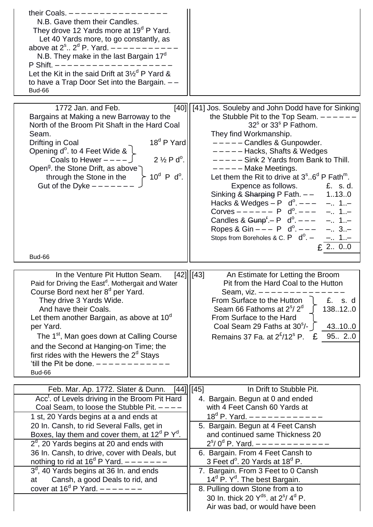| their Coals. $---$<br>N.B. Gave them their Candles.<br>They drove 12 Yards more at 19 <sup>d</sup> P Yard.<br>Let 40 Yards more, to go constantly, as<br>above at $2^s$ $2^d$ P. Yard. $---$<br>N.B. They make in the last Bargain 17 <sup>d</sup><br>P Shift. $---$<br>Let the Kit in the said Drift at $3\frac{1}{2}$ <sup>d</sup> P Yard &<br>to have a Trap Door Set into the Bargain. --<br>Bud-66                                                                                                                                                                          |                                                                                                                                                                                                                                                                                                                                                                                                                                                                                                                                                                                                                                                                                                                                                      |
|----------------------------------------------------------------------------------------------------------------------------------------------------------------------------------------------------------------------------------------------------------------------------------------------------------------------------------------------------------------------------------------------------------------------------------------------------------------------------------------------------------------------------------------------------------------------------------|------------------------------------------------------------------------------------------------------------------------------------------------------------------------------------------------------------------------------------------------------------------------------------------------------------------------------------------------------------------------------------------------------------------------------------------------------------------------------------------------------------------------------------------------------------------------------------------------------------------------------------------------------------------------------------------------------------------------------------------------------|
| 1772 Jan. and Feb.<br>Bargains at Making a new Barroway to the<br>North of the Broom Pit Shaft in the Hard Coal<br>Seam.<br>18 <sup>d</sup> P Yard<br>Drifting in Coal<br>Opening d <sup>o</sup> . to 4 Feet Wide &<br>Coals to Hewer $---$<br>$2\frac{1}{2}Pd^{\circ}$ .<br>Open <sup>9</sup> . the Stone Drift, as above<br>$10^d$ P d <sup>o</sup> .<br>through the Stone in the<br>Gut of the Dyke $---$                                                                                                                                                                     | [40] [41] Jos. Souleby and John Dodd have for Sinking<br>the Stubble Pit to the Top Seam. -<br>$32s$ or $33s$ P Fathom.<br>They find Workmanship.<br>-----Candles & Gunpowder.<br>$-- -$ Hacks, Shafts & Wedges<br>$---$ - Sink 2 Yards from Bank to Thill.<br>$---$ Make Meetings.<br>Let them the Rit to drive at $3^{\circ}$ 6 <sup>d</sup> P Fath <sup>m</sup> .<br>Expence as follows.<br>£. s.d.<br>Sinking & Sharping P Fath. $- -$ 1130<br>$-.71.7$<br>Hacks & Wedges $- P \, d^{\circ}$ . $- - -$<br>$-. 1. -$<br>Corves $--- - P d^{\circ}$ .<br>Candles & $Gupp^r - P \, d^0.$ - - -<br>$-. 1. -$<br>Ropes & Gin $--- P$ d <sup>o</sup> . $---$<br>$-.3. -$<br>Stops from Boreholes & C. $P$ d <sup>o</sup> . -<br>$-$ 1–<br>$£$ 2. $0.0$ |
| Bud-66                                                                                                                                                                                                                                                                                                                                                                                                                                                                                                                                                                           |                                                                                                                                                                                                                                                                                                                                                                                                                                                                                                                                                                                                                                                                                                                                                      |
| In the Venture Pit Hutton Seam.<br>Paid for Driving the East <sup>d</sup> . Mothergait and Water<br>Course Bord next her 8 <sup>d</sup> per Yard.<br>They drive 3 Yards Wide.<br>And have their Coals.<br>Let them another Bargain, as above at 10 <sup>°</sup><br>per Yard.<br>The 1 <sup>st</sup> , Man goes down at Calling Course<br>and the Second at Hanging-on Time; the<br>first rides with the Hewers the $2d$ Stays<br>'till the Pit be done. $---------$<br>Bud-66                                                                                                    | [42]   [43]<br>An Estimate for Letting the Broom<br>Pit from the Hard Coal to the Hutton<br>Seam, viz. $---$ - - - -<br>From Surface to the Hutton<br>£. s. d<br>Seam 66 Fathoms at 2 <sup>s</sup> /2 <sup>d</sup><br>138.12.0<br>From Surface to the Hard<br>Coal Seam 29 Faths at $30^{\circ}$ /-<br>43.10.0<br>Remains 37 Fa. at $2^{\mathcal{E}}/12^{\mathcal{S}}$ P.<br>£<br>95 2.0                                                                                                                                                                                                                                                                                                                                                             |
| [44]                                                                                                                                                                                                                                                                                                                                                                                                                                                                                                                                                                             | In Drift to Stubble Pit.                                                                                                                                                                                                                                                                                                                                                                                                                                                                                                                                                                                                                                                                                                                             |
| Feb. Mar. Ap. 1772. Slater & Dunn.<br>Acc <sup>t</sup> . of Levels driving in the Broom Pit Hard<br>Coal Seam, to loose the Stubble Pit. $---$<br>1 st, 20 Yards begins at a and ends at<br>20 In. Cansh, to rid Several Falls, get in<br>Boxes, lay them and cover them, at $12^d$ P Y <sup>d</sup> .<br>$2d$ , 20 Yards begins at 20 and ends with<br>36 In. Cansh, to drive, cover with Deals, but<br>nothing to rid at $16^d$ P Yard. $---$<br>$3d$ , 40 Yards begins at 36 In. and ends<br>Cansh, a good Deals to rid, and<br>at<br>cover at $16^d$ P Yard. $---$ - - - - - | $[45]$<br>4. Bargain. Begun at 0 and ended<br>with 4 Feet Cansh 60 Yards at<br>$18^d$ P. Yard. $---------$<br>5. Bargain. Begun at 4 Feet Cansh<br>and continued same Thickness 20<br>$2s/0d$ P. Yard. $------------$<br>6. Bargain. From 4 Feet Cansh to<br>3 Feet $d^{\circ}$ . 20 Yards at 18 $^{\circ}$ P.<br>7. Bargain. From 3 Feet to 0 Cansh<br>14 <sup>d</sup> P. Y <sup>d</sup> . The best Bargain.<br>8. Pulling down Stone from a to<br>30 In. thick 20 $Y^{ds}$ . at $2^{s}/4^{d}$ P.<br>Air was bad, or would have been                                                                                                                                                                                                                |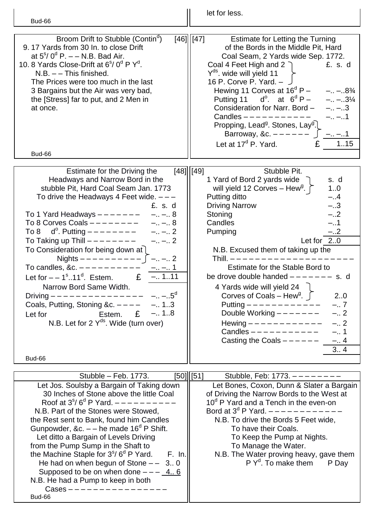| Bud-66                                                                                                                                                                                                                                                                                                                                                                                                                                                                                                                                                                                                                                                                                                                                                         | let for less.                                                                                                                                                                                                                                                                                                                                                                                                                                                                                                                                                                                                                                                                                 |
|----------------------------------------------------------------------------------------------------------------------------------------------------------------------------------------------------------------------------------------------------------------------------------------------------------------------------------------------------------------------------------------------------------------------------------------------------------------------------------------------------------------------------------------------------------------------------------------------------------------------------------------------------------------------------------------------------------------------------------------------------------------|-----------------------------------------------------------------------------------------------------------------------------------------------------------------------------------------------------------------------------------------------------------------------------------------------------------------------------------------------------------------------------------------------------------------------------------------------------------------------------------------------------------------------------------------------------------------------------------------------------------------------------------------------------------------------------------------------|
|                                                                                                                                                                                                                                                                                                                                                                                                                                                                                                                                                                                                                                                                                                                                                                |                                                                                                                                                                                                                                                                                                                                                                                                                                                                                                                                                                                                                                                                                               |
| Broom Drift to Stubble (Contin <sup>d</sup> )<br>9.17 Yards from 30 In. to close Drift<br>at $5^{\circ}/0^{\circ}$ P. $-$ N.B. Bad Air.<br>10. 8 Yards Close-Drift at 6 <sup>s</sup> / 0 <sup>d</sup> P Y <sup>d</sup> .<br>$N.B. - -$ This finished.<br>The Prices were too much in the last<br>3 Bargains but the Air was very bad,<br>the [Stress] far to put, and 2 Men in<br>at once.<br>Bud-66                                                                                                                                                                                                                                                                                                                                                           | [46]  [47]<br><b>Estimate for Letting the Turning</b><br>of the Bords in the Middle Pit, Hard<br>Coal Seam, 2 Yards wide Sep. 1772.<br>Coal 4 Feet High and 2 $\bigcap$<br>£. s. d<br>$Y^{ds}$ . wide will yield 11<br>16 P. Corve P. Yard. $ \sim$<br>Hewing 11 Corves at $16^d$ P –<br>$-. - .8\%$<br>Putting 11 $d^{\circ}$ . at $6^d$ P –<br>$- - .3\frac{1}{4}$<br>Consideration for Narr. Bord -<br>$-. - .3$<br>$-. - .1$<br>Candles $------$<br>Propping, Lead <sup>g</sup> . Stones, Lay <sup>g</sup> .<br>Barroway, &c. $---$ - - - -<br>$ -$ 1<br>Let at $17d$ P. Yard.<br>£<br>1.15                                                                                               |
|                                                                                                                                                                                                                                                                                                                                                                                                                                                                                                                                                                                                                                                                                                                                                                |                                                                                                                                                                                                                                                                                                                                                                                                                                                                                                                                                                                                                                                                                               |
| Estimate for the Driving the<br>Headways and Narrow Bord in the<br>stubble Pit, Hard Coal Seam Jan. 1773<br>To drive the Headways 4 Feet wide. $---$<br>£. s. d<br>To 1 Yard Headways $------$<br>$- - . 8$<br>To 8 Corves Coals $------$<br>$- - . 8$<br>$d^{\circ}$ . Putting $----- -- -- 2$<br>To 8<br>To Taking up Thill $------$<br>$- - 2$<br>To Consideration for being down at<br>Nights $-------- \bigcup$ $-.$ $-$ .<br>To candles, &c. $------$<br><u>– –</u> 1<br>$-.1.11$<br>Let for $-$ – 1 <sup>s</sup> 11 <sup>d</sup> . Estem.<br>£<br>Narrow Bord Same Width.<br>$- - .5^d$<br>Driving $- - - - - - - - - - - - -$<br>Coals, Putting, Stoning &c. $-- -.13$<br>Estem. $E = -0.1.8$<br>Let for<br>N.B. Let for $2 Y^{ds}$ . Wide (turn over) | $[48]$  [49]<br>Stubble Pit.<br>1 Yard of Bord 2 yards wide<br>s. d<br>1.0<br>will yield 12 Corves - Hew <sup>g</sup> . $\int$<br>$-.4$<br>Putting ditto<br>$-.3$<br><b>Driving Narrow</b><br>$-.2$<br>Stoning<br>$-.1$<br>Candles<br>Pumping<br>$-.2$<br>Let for $2.0$<br>N.B. Excused them of taking up the<br>Thill. $- - - - - -$<br>Estimate for the Stable Bord to<br>be drove double handed $------$ s. d<br>4 Yards wide will yield 24<br>Corves of Coals – Hew <sup>g</sup> . $\int$<br>2.0<br>$-.7$<br>Putting $      -$<br>Double Working $------$<br>$-.2$<br>Hewing $- - - - - - - - - - -$<br>$-.2$<br>Candles $---------$<br>$-.1$<br>Casting the Coals $---$ - - - -<br>$-.4$ |
| Bud-66                                                                                                                                                                                                                                                                                                                                                                                                                                                                                                                                                                                                                                                                                                                                                         | 3.4                                                                                                                                                                                                                                                                                                                                                                                                                                                                                                                                                                                                                                                                                           |
|                                                                                                                                                                                                                                                                                                                                                                                                                                                                                                                                                                                                                                                                                                                                                                |                                                                                                                                                                                                                                                                                                                                                                                                                                                                                                                                                                                                                                                                                               |
| Stubble - Feb. 1773.<br>Let Jos. Soulsby a Bargain of Taking down<br>30 Inches of Stone above the little Coal<br>Roof at $3^{\circ}/6^{\circ}$ P Yard. $------$<br>N.B. Part of the Stones were Stowed,<br>the Rest sent to Bank, found him Candles<br>Gunpowder, &c. $-$ he made 16 <sup>d</sup> P Shift.<br>Let ditto a Bargain of Levels Driving<br>from the Pump Sump in the Shaft to<br>the Machine Staple for $3s/6d$ P Yard.<br>F. In.<br>He had on when begun of Stone $--$ 3 0<br>Supposed to be on when done $---$ 4 6<br>N.B. He had a Pump to keep in both<br>Bud-66                                                                                                                                                                               | $[50]$  [51]<br>Stubble, Feb: 1773. $------$<br>Let Bones, Coxon, Dunn & Slater a Bargain<br>of Driving the Narrow Bords to the West at<br>10 <sup>d</sup> P Yard and a Tench in the even-on<br>Bord at $3^d$ P Yard. $------------$<br>N.B. To drive the Bords 5 Feet wide,<br>To have their Coals.<br>To Keep the Pump at Nights.<br>To Manage the Water.<br>N.B. The Water proving heavy, gave them<br>$P Yd$ . To make them<br>P Day                                                                                                                                                                                                                                                      |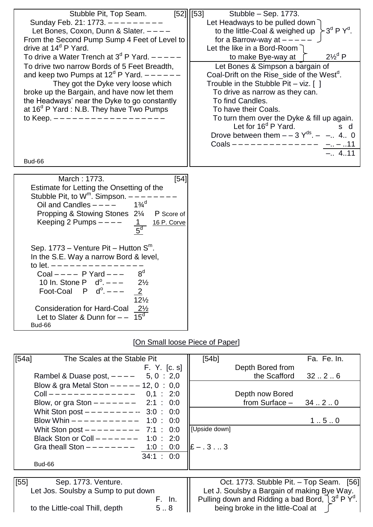| Stubble Pit, Top Seam.<br>Sunday Feb. 21: 1773. $------$<br>Let Bones, Coxon, Dunn & Slater. ----<br>From the Second Pump Sump 4 Feet of Level to<br>drive at 14 <sup>d</sup> P Yard.<br>To drive a Water Trench at $3d$ P Yard. $---$<br>To drive two narrow Bords of 5 Feet Breadth,<br>and keep two Pumps at $12d$ P Yard. $---$                                   | $\overline{[52]}\overline{[53]}$<br>Stubble - Sep. 1773.<br>Let Headways to be pulled down<br>$-3^d P Y^d$ .<br>to the little-Coal & weighed up<br>for a Barrow-way at $---$<br>Let the like in a Bord-Room $\bigcap$<br>$2\frac{1}{2}$ <sup>d</sup> P<br>to make Bye-way at<br>Let Bones & Simpson a bargain of<br>Coal-Drift on the Rise_side of the West <sup>d</sup> . |
|-----------------------------------------------------------------------------------------------------------------------------------------------------------------------------------------------------------------------------------------------------------------------------------------------------------------------------------------------------------------------|----------------------------------------------------------------------------------------------------------------------------------------------------------------------------------------------------------------------------------------------------------------------------------------------------------------------------------------------------------------------------|
| They got the Dyke very loose which<br>broke up the Bargain, and have now let them<br>the Headways' near the Dyke to go constantly<br>at 16 <sup>d</sup> P Yard : N.B. They have Two Pumps<br>to Keep. ------------------                                                                                                                                              | Trouble in the Stubble Pit $-$ viz. [ ]<br>To drive as narrow as they can.<br>To find Candles.<br>To have their Coals.<br>To turn them over the Dyke & fill up again.<br>Let for $16^d$ P Yard.<br>s d<br>Drove between them $- - 3Y^{ds}$ . $- -1$ . 4. 0<br>Coals -------------- --.11<br>$-.4.11$                                                                       |
| Bud-66                                                                                                                                                                                                                                                                                                                                                                |                                                                                                                                                                                                                                                                                                                                                                            |
| March: 1773.<br>[54]<br>Estimate for Letting the Onsetting of the<br>Stubble Pit, to $W^m$ . Simpson. $-$ -<br>$1\frac{3}{4}^{d}$<br>Oil and Candles $---$<br>Propping & Stowing Stones 21/4 P Score of<br>Keeping 2 Pumps $---$<br>16 P. Corve<br>5 <sup>d</sup>                                                                                                     |                                                                                                                                                                                                                                                                                                                                                                            |
| Sep. $1773 -$ Venture Pit - Hutton $Sm$ .<br>In the S.E. Way a narrow Bord & level,<br>to let. $---------$<br>8 <sup>d</sup><br>Coal $---$ P Yard $---$<br>10 In. Stone P $d^0$ . $---$<br>$2\frac{1}{2}$<br>Foot-Coal P $d^0$ . $---$<br>$\overline{2}$<br>$12\frac{1}{2}$<br>Consideration for Hard-Coal 21/2<br>$15^d$<br>Let to Slater & Dunn for $-$ -<br>Bud-66 |                                                                                                                                                                                                                                                                                                                                                                            |

## [On Small loose Piece of Paper]

| [54a] | The Scales at the Stable Pit              | Fa. Fe. In.<br>[54b]                                    |
|-------|-------------------------------------------|---------------------------------------------------------|
|       | F. Y. [c. s]                              | Depth Bored from                                        |
|       | 5, 0 : 2,0<br>Rambel & Duase post, $---$  | the Scafford<br>3226                                    |
|       | Blow & gra Metal Ston $--- 12$ , 0 : 0,0  |                                                         |
|       | Coll $------------ 0,1 : 2:0$             | Depth now Bored                                         |
|       | Blow, or gra Ston $------2:1 : 0:0$       | from Surface $-$ 34  2  0                               |
|       | Whit Ston post $--------$ 3:0 : 0:0       |                                                         |
|       | Blow Whin $--------- 1:0 : 0:0$           | 1.5.0                                                   |
|       | Whit Ston post $------ - - - -$ 7:1 : 0:0 | [Upside down]                                           |
|       | Black Ston or Coll $------$ 1:0 : 2:0     |                                                         |
|       | Gra theall Ston $- - - - - - - - 1:0:0:0$ | $E - 33$                                                |
|       | 34:1:0:0                                  |                                                         |
|       | Bud-66                                    |                                                         |
|       |                                           |                                                         |
| [55]  | Sep. 1773. Venture.                       | Oct. 1773. Stubble Pit. - Top Seam. [56]                |
|       | Let Jos. Soulsby a Sump to put down       | Let J. Soulsby a Bargain of making Bye Way.             |
|       | F. In.                                    | Pulling down and Ridding a bad Bord, $\int 3^d P Y^d$ . |
|       | 58<br>to the Little-coal Thill, depth     | being broke in the little-Coal at                       |